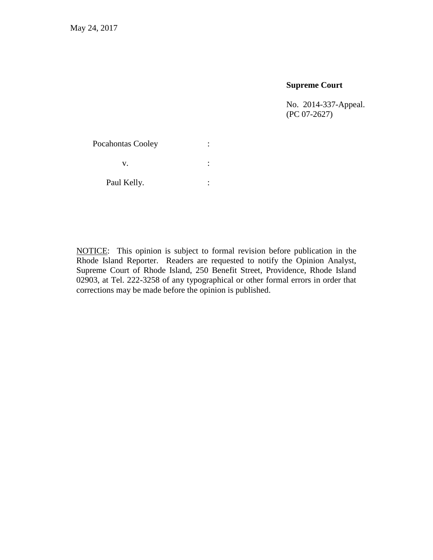### **Supreme Court**

No. 2014-337-Appeal. (PC 07-2627)

| <b>Pocahontas Cooley</b> |  |
|--------------------------|--|
| V.                       |  |
| Paul Kelly.              |  |

<span id="page-0-0"></span>NOTICE: This opinion is subject to formal revision before publication in the Rhode Island Reporter. Readers are requested to notify the Opinion Analyst, Supreme Court of Rhode Island, 250 Benefit Street, Providence, Rhode Island 02903, at Tel. 222-3258 of any typographical or other formal errors in order that corrections may be made before the opinion is published.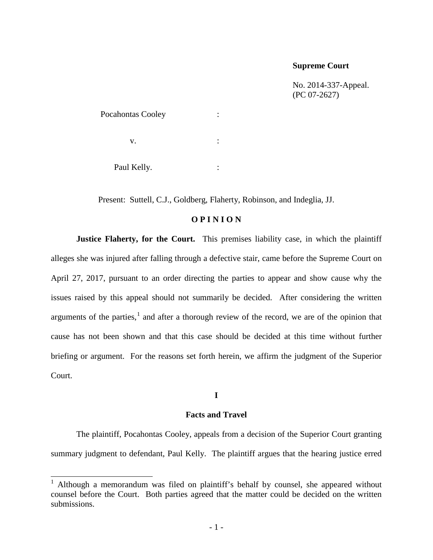#### **Supreme Court**

No. 2014-337-Appeal. (PC 07-2627)

| Pocahontas Cooley |  |
|-------------------|--|
| v.                |  |
| Paul Kelly.       |  |

Present: Suttell, C.J., Goldberg, Flaherty, Robinson, and Indeglia, JJ.

### **O P I N I O N**

**Justice Flaherty, for the Court.** This premises liability case, in which the plaintiff alleges she was injured after falling through a defective stair, came before the Supreme Court on April 27, 2017, pursuant to an order directing the parties to appear and show cause why the issues raised by this appeal should not summarily be decided. After considering the written arguments of the parties, $<sup>1</sup>$  $<sup>1</sup>$  $<sup>1</sup>$  and after a thorough review of the record, we are of the opinion that</sup> cause has not been shown and that this case should be decided at this time without further briefing or argument. For the reasons set forth herein, we affirm the judgment of the Superior Court.

#### **I**

#### **Facts and Travel**

The plaintiff, Pocahontas Cooley, appeals from a decision of the Superior Court granting summary judgment to defendant, Paul Kelly. The plaintiff argues that the hearing justice erred

<span id="page-1-0"></span><sup>&</sup>lt;sup>1</sup> Although a memorandum was filed on plaintiff's behalf by counsel, she appeared without counsel before the Court. Both parties agreed that the matter could be decided on the written submissions.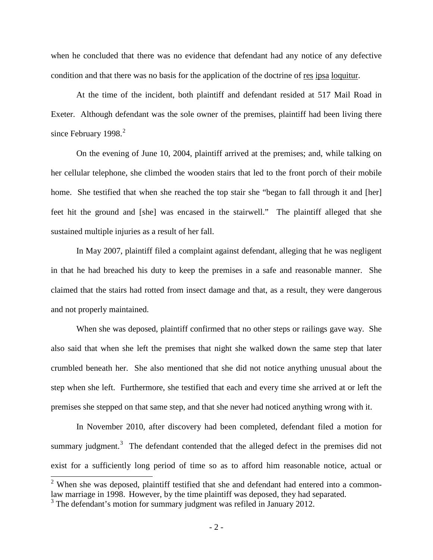when he concluded that there was no evidence that defendant had any notice of any defective condition and that there was no basis for the application of the doctrine of res ipsa loquitur.

At the time of the incident, both plaintiff and defendant resided at 517 Mail Road in Exeter. Although defendant was the sole owner of the premises, plaintiff had been living there since February 1998. $2$ 

On the evening of June 10, 2004, plaintiff arrived at the premises; and, while talking on her cellular telephone, she climbed the wooden stairs that led to the front porch of their mobile home. She testified that when she reached the top stair she "began to fall through it and [her] feet hit the ground and [she] was encased in the stairwell." The plaintiff alleged that she sustained multiple injuries as a result of her fall.

In May 2007, plaintiff filed a complaint against defendant, alleging that he was negligent in that he had breached his duty to keep the premises in a safe and reasonable manner. She claimed that the stairs had rotted from insect damage and that, as a result, they were dangerous and not properly maintained.

When she was deposed, plaintiff confirmed that no other steps or railings gave way. She also said that when she left the premises that night she walked down the same step that later crumbled beneath her. She also mentioned that she did not notice anything unusual about the step when she left. Furthermore, she testified that each and every time she arrived at or left the premises she stepped on that same step, and that she never had noticed anything wrong with it.

In November 2010, after discovery had been completed, defendant filed a motion for summary judgment.<sup>[3](#page-2-0)</sup> The defendant contended that the alleged defect in the premises did not exist for a sufficiently long period of time so as to afford him reasonable notice, actual or

 $2$  When she was deposed, plaintiff testified that she and defendant had entered into a commonlaw marriage in 1998. However, by the time plaintiff was deposed, they had separated.

<span id="page-2-0"></span> $3$  The defendant's motion for summary judgment was refiled in January 2012.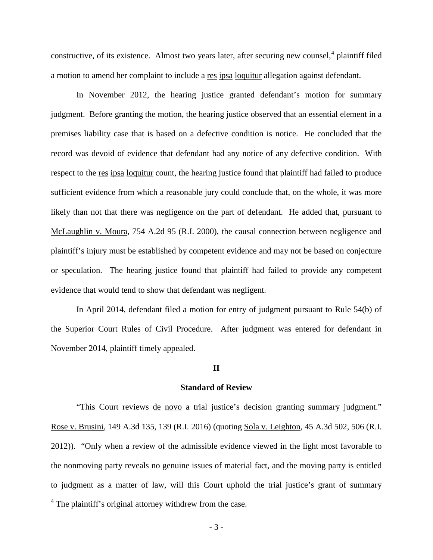constructive, of its existence. Almost two years later, after securing new counsel,<sup>[4](#page-2-0)</sup> plaintiff filed a motion to amend her complaint to include a res ipsa loquitur allegation against defendant.

In November 2012, the hearing justice granted defendant's motion for summary judgment. Before granting the motion, the hearing justice observed that an essential element in a premises liability case that is based on a defective condition is notice. He concluded that the record was devoid of evidence that defendant had any notice of any defective condition. With respect to the res ipsa loquitur count, the hearing justice found that plaintiff had failed to produce sufficient evidence from which a reasonable jury could conclude that, on the whole, it was more likely than not that there was negligence on the part of defendant. He added that, pursuant to McLaughlin v. Moura, 754 A.2d 95 (R.I. 2000), the causal connection between negligence and plaintiff's injury must be established by competent evidence and may not be based on conjecture or speculation. The hearing justice found that plaintiff had failed to provide any competent evidence that would tend to show that defendant was negligent.

In April 2014, defendant filed a motion for entry of judgment pursuant to Rule 54(b) of the Superior Court Rules of Civil Procedure. After judgment was entered for defendant in November 2014, plaintiff timely appealed.

#### **II**

#### **Standard of Review**

<span id="page-3-0"></span>"This Court reviews <u>de novo</u> a trial justice's decision granting summary judgment." Rose v. Brusini, 149 A.3d 135, 139 (R.I. 2016) (quoting Sola v. Leighton, 45 A.3d 502, 506 (R.I. 2012)). "Only when a review of the admissible evidence viewed in the light most favorable to the nonmoving party reveals no genuine issues of material fact, and the moving party is entitled to judgment as a matter of law, will this Court uphold the trial justice's grant of summary

<sup>&</sup>lt;sup>4</sup> The plaintiff's original attorney withdrew from the case.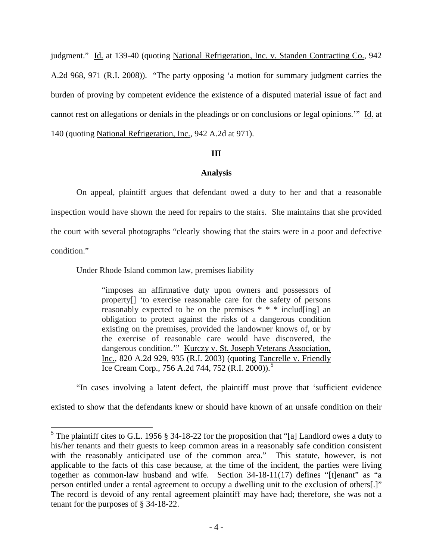judgment." Id. at 139-40 (quoting National Refrigeration, Inc. v. Standen Contracting Co., 942 A.2d 968, 971 (R.I. 2008)). "The party opposing 'a motion for summary judgment carries the burden of proving by competent evidence the existence of a disputed material issue of fact and cannot rest on allegations or denials in the pleadings or on conclusions or legal opinions.'" Id. at 140 (quoting National Refrigeration, Inc., 942 A.2d at 971).

# **III**

# **Analysis**

On appeal, plaintiff argues that defendant owed a duty to her and that a reasonable inspection would have shown the need for repairs to the stairs. She maintains that she provided the court with several photographs "clearly showing that the stairs were in a poor and defective condition."

Under Rhode Island common law, premises liability

"imposes an affirmative duty upon owners and possessors of property[] 'to exercise reasonable care for the safety of persons reasonably expected to be on the premises \* \* \* includ[ing] an obligation to protect against the risks of a dangerous condition existing on the premises, provided the landowner knows of, or by the exercise of reasonable care would have discovered, the dangerous condition.'" Kurczy v. St. Joseph Veterans Association, Inc., 820 A.2d 929, 935 (R.I. 2003) (quoting Tancrelle v. Friendly Ice Cream Corp., 7[5](#page-3-0)6 A.2d 744, 752 (R.I. 2000)).<sup>5</sup>

"In cases involving a latent defect, the plaintiff must prove that 'sufficient evidence

existed to show that the defendants knew or should have known of an unsafe condition on their

<span id="page-4-0"></span> <sup>5</sup> The plaintiff cites to G.L. 1956 § 34-18-22 for the proposition that "[a] Landlord owes a duty to his/her tenants and their guests to keep common areas in a reasonably safe condition consistent with the reasonably anticipated use of the common area." This statute, however, is not applicable to the facts of this case because, at the time of the incident, the parties were living together as common-law husband and wife. Section 34-18-11(17) defines "[t]enant" as "a person entitled under a rental agreement to occupy a dwelling unit to the exclusion of others[.]" The record is devoid of any rental agreement plaintiff may have had; therefore, she was not a tenant for the purposes of § 34-18-22.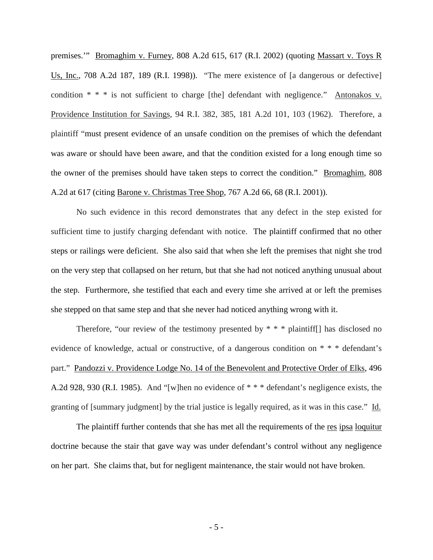premises.'" Bromaghim v. Furney, 808 A.2d 615, 617 (R.I. 2002) (quoting Massart v. Toys R Us, Inc., 708 A.2d 187, 189 (R.I. 1998)). "The mere existence of [a dangerous or defective] condition \* \* \* is not sufficient to charge [the] defendant with negligence." Antonakos v. Providence Institution for Savings, 94 R.I. 382, 385, 181 A.2d 101, 103 (1962). Therefore, a plaintiff "must present evidence of an unsafe condition on the premises of which the defendant was aware or should have been aware, and that the condition existed for a long enough time so the owner of the premises should have taken steps to correct the condition." Bromaghim, 808 A.2d at 617 (citing Barone v. Christmas Tree Shop, 767 A.2d 66, 68 (R.I. 2001)).

No such evidence in this record demonstrates that any defect in the step existed for sufficient time to justify charging defendant with notice. The plaintiff confirmed that no other steps or railings were deficient. She also said that when she left the premises that night she trod on the very step that collapsed on her return, but that she had not noticed anything unusual about the step. Furthermore, she testified that each and every time she arrived at or left the premises she stepped on that same step and that she never had noticed anything wrong with it.

Therefore, "our review of the testimony presented by  $* * *$  plaintiff. Thas disclosed no evidence of knowledge, actual or constructive, of a dangerous condition on \* \* \* defendant's part." Pandozzi v. Providence Lodge No. 14 of the Benevolent and Protective Order of Elks, 496 A.2d 928, 930 (R.I. 1985). And "[w]hen no evidence of \* \* \* defendant's negligence exists, the granting of [summary judgment] by the trial justice is legally required, as it was in this case." Id.

The plaintiff further contends that she has met all the requirements of the res ipsa loquitur doctrine because the stair that gave way was under defendant's control without any negligence on her part. She claims that, but for negligent maintenance, the stair would not have broken.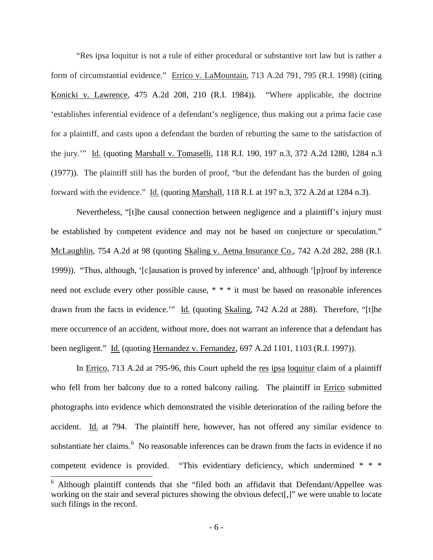"Res ipsa loquitur is not a rule of either procedural or substantive tort law but is rather a form of circumstantial evidence." Errico v. LaMountain, 713 A.2d 791, 795 (R.I. 1998) (citing Konicki v. Lawrence, 475 A.2d 208, 210 (R.I. 1984)). "Where applicable, the doctrine 'establishes inferential evidence of a defendant's negligence, thus making out a prima facie case for a plaintiff, and casts upon a defendant the burden of rebutting the same to the satisfaction of the jury.'" Id. (quoting Marshall v. Tomaselli, 118 R.I. 190, 197 n.3, 372 A.2d 1280, 1284 n.3 (1977)). The plaintiff still has the burden of proof, "but the defendant has the burden of going forward with the evidence." Id. (quoting Marshall, 118 R.I. at 197 n.3, 372 A.2d at 1284 n.3).

Nevertheless, "[t]he causal connection between negligence and a plaintiff's injury must be established by competent evidence and may not be based on conjecture or speculation." McLaughlin, 754 A.2d at 98 (quoting Skaling v. Aetna Insurance Co., 742 A.2d 282, 288 (R.I. 1999)). "Thus, although, '[c]ausation is proved by inference' and, although '[p]roof by inference need not exclude every other possible cause, \* \* \* it must be based on reasonable inferences drawn from the facts in evidence." Id. (quoting Skaling, 742 A.2d at 288). Therefore, "[t]he mere occurrence of an accident, without more, does not warrant an inference that a defendant has been negligent." Id. (quoting Hernandez v. Fernandez, 697 A.2d 1101, 1103 (R.I. 1997)).

In Errico, 713 A.2d at 795-96, this Court upheld the res ipsa loquitur claim of a plaintiff who fell from her balcony due to a rotted balcony railing. The plaintiff in Errico submitted photographs into evidence which demonstrated the visible deterioration of the railing before the accident. Id. at 794. The plaintiff here, however, has not offered any similar evidence to substantiate her claims.<sup>[6](#page-4-0)</sup> No reasonable inferences can be drawn from the facts in evidence if no competent evidence is provided. "This evidentiary deficiency, which undermined \* \* \*

 <sup>6</sup> Although plaintiff contends that she "filed both an affidavit that Defendant/Appellee was working on the stair and several pictures showing the obvious defect[,]" we were unable to locate such filings in the record.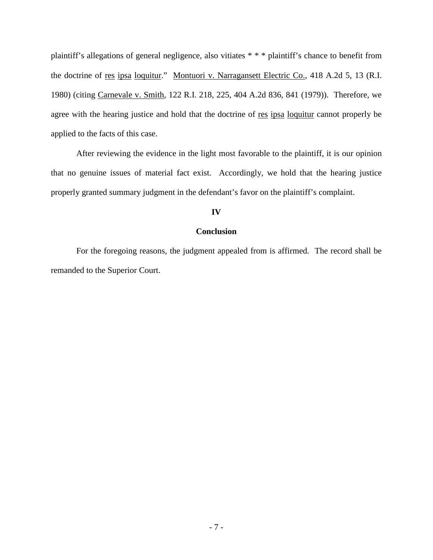plaintiff's allegations of general negligence, also vitiates \* \* \* plaintiff's chance to benefit from the doctrine of res ipsa loquitur." Montuori v. Narragansett Electric Co., 418 A.2d 5, 13 (R.I. 1980) (citing Carnevale v. Smith, 122 R.I. 218, 225, 404 A.2d 836, 841 (1979)). Therefore, we agree with the hearing justice and hold that the doctrine of res ipsa loquitur cannot properly be applied to the facts of this case.

After reviewing the evidence in the light most favorable to the plaintiff, it is our opinion that no genuine issues of material fact exist. Accordingly, we hold that the hearing justice properly granted summary judgment in the defendant's favor on the plaintiff's complaint.

# **IV**

### **Conclusion**

For the foregoing reasons, the judgment appealed from is affirmed. The record shall be remanded to the Superior Court.